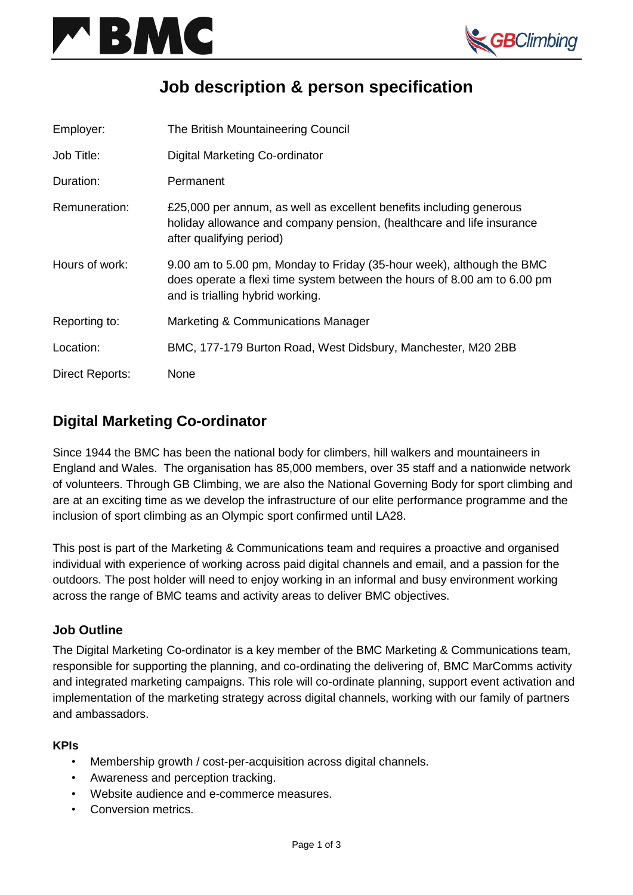



# **Job description & person specification**

| Employer:       | The British Mountaineering Council                                                                                                                                                    |
|-----------------|---------------------------------------------------------------------------------------------------------------------------------------------------------------------------------------|
| Job Title:      | Digital Marketing Co-ordinator                                                                                                                                                        |
| Duration:       | Permanent                                                                                                                                                                             |
| Remuneration:   | £25,000 per annum, as well as excellent benefits including generous<br>holiday allowance and company pension, (healthcare and life insurance<br>after qualifying period)              |
| Hours of work:  | 9.00 am to 5.00 pm, Monday to Friday (35-hour week), although the BMC<br>does operate a flexi time system between the hours of 8.00 am to 6.00 pm<br>and is trialling hybrid working. |
| Reporting to:   | Marketing & Communications Manager                                                                                                                                                    |
| Location:       | BMC, 177-179 Burton Road, West Didsbury, Manchester, M20 2BB                                                                                                                          |
| Direct Reports: | None                                                                                                                                                                                  |

# **Digital Marketing Co-ordinator**

Since 1944 the BMC has been the national body for climbers, hill walkers and mountaineers in England and Wales. The organisation has 85,000 members, over 35 staff and a nationwide network of volunteers. Through GB Climbing, we are also the National Governing Body for sport climbing and are at an exciting time as we develop the infrastructure of our elite performance programme and the inclusion of sport climbing as an Olympic sport confirmed until LA28.

This post is part of the Marketing & Communications team and requires a proactive and organised individual with experience of working across paid digital channels and email, and a passion for the outdoors. The post holder will need to enjoy working in an informal and busy environment working across the range of BMC teams and activity areas to deliver BMC objectives.

### **Job Outline**

The Digital Marketing Co-ordinator is a key member of the BMC Marketing & Communications team, responsible for supporting the planning, and co-ordinating the delivering of, BMC MarComms activity and integrated marketing campaigns. This role will co-ordinate planning, support event activation and implementation of the marketing strategy across digital channels, working with our family of partners and ambassadors.

#### **KPIs**

- Membership growth / cost-per-acquisition across digital channels.
- Awareness and perception tracking.
- Website audience and e-commerce measures.
- Conversion metrics.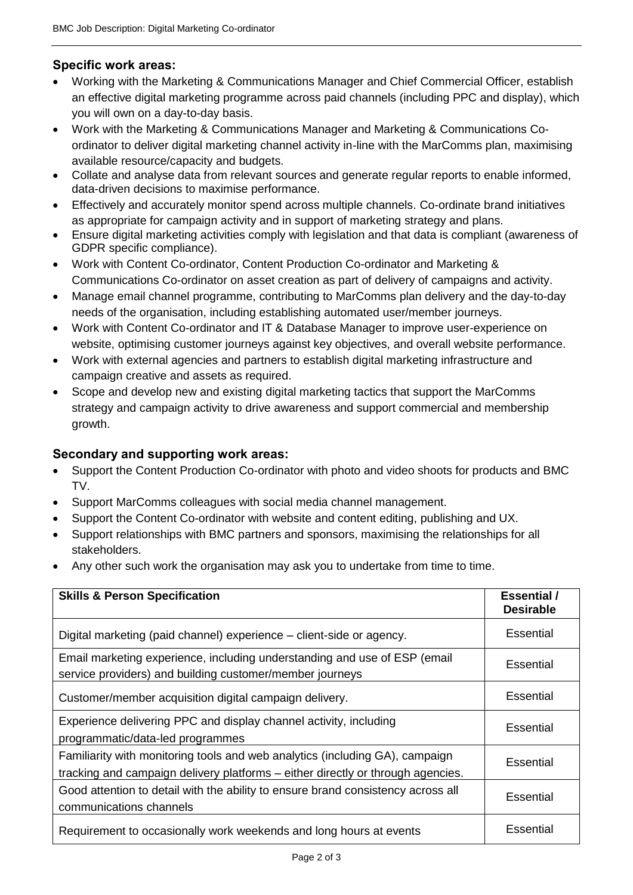# **Specific work areas:**

- Working with the Marketing & Communications Manager and Chief Commercial Officer, establish an effective digital marketing programme across paid channels (including PPC and display), which you will own on a day-to-day basis.
- Work with the Marketing & Communications Manager and Marketing & Communications Coordinator to deliver digital marketing channel activity in-line with the MarComms plan, maximising available resource/capacity and budgets.
- Collate and analyse data from relevant sources and generate regular reports to enable informed, data-driven decisions to maximise performance.
- Effectively and accurately monitor spend across multiple channels. Co-ordinate brand initiatives as appropriate for campaign activity and in support of marketing strategy and plans.
- Ensure digital marketing activities comply with legislation and that data is compliant (awareness of GDPR specific compliance).
- Work with Content Co-ordinator, Content Production Co-ordinator and Marketing & Communications Co-ordinator on asset creation as part of delivery of campaigns and activity.
- Manage email channel programme, contributing to MarComms plan delivery and the day-to-day needs of the organisation, including establishing automated user/member journeys.
- Work with Content Co-ordinator and IT & Database Manager to improve user-experience on website, optimising customer journeys against key objectives, and overall website performance.
- Work with external agencies and partners to establish digital marketing infrastructure and campaign creative and assets as required.
- Scope and develop new and existing digital marketing tactics that support the MarComms strategy and campaign activity to drive awareness and support commercial and membership growth.

## **Secondary and supporting work areas:**

- Support the Content Production Co-ordinator with photo and video shoots for products and BMC TV.
- Support MarComms colleagues with social media channel management.
- Support the Content Co-ordinator with website and content editing, publishing and UX.
- Support relationships with BMC partners and sponsors, maximising the relationships for all stakeholders.
- Any other such work the organisation may ask you to undertake from time to time.

| <b>Skills &amp; Person Specification</b>                                                                                                                        | <b>Essential</b> /<br><b>Desirable</b> |
|-----------------------------------------------------------------------------------------------------------------------------------------------------------------|----------------------------------------|
| Digital marketing (paid channel) experience – client-side or agency.                                                                                            | Essential                              |
| Email marketing experience, including understanding and use of ESP (email<br>service providers) and building customer/member journeys                           | <b>Essential</b>                       |
| Customer/member acquisition digital campaign delivery.                                                                                                          | Essential                              |
| Experience delivering PPC and display channel activity, including<br>programmatic/data-led programmes                                                           | <b>Essential</b>                       |
| Familiarity with monitoring tools and web analytics (including GA), campaign<br>tracking and campaign delivery platforms – either directly or through agencies. | <b>Essential</b>                       |
| Good attention to detail with the ability to ensure brand consistency across all<br>communications channels                                                     | <b>Essential</b>                       |
| Requirement to occasionally work weekends and long hours at events                                                                                              | Essential                              |